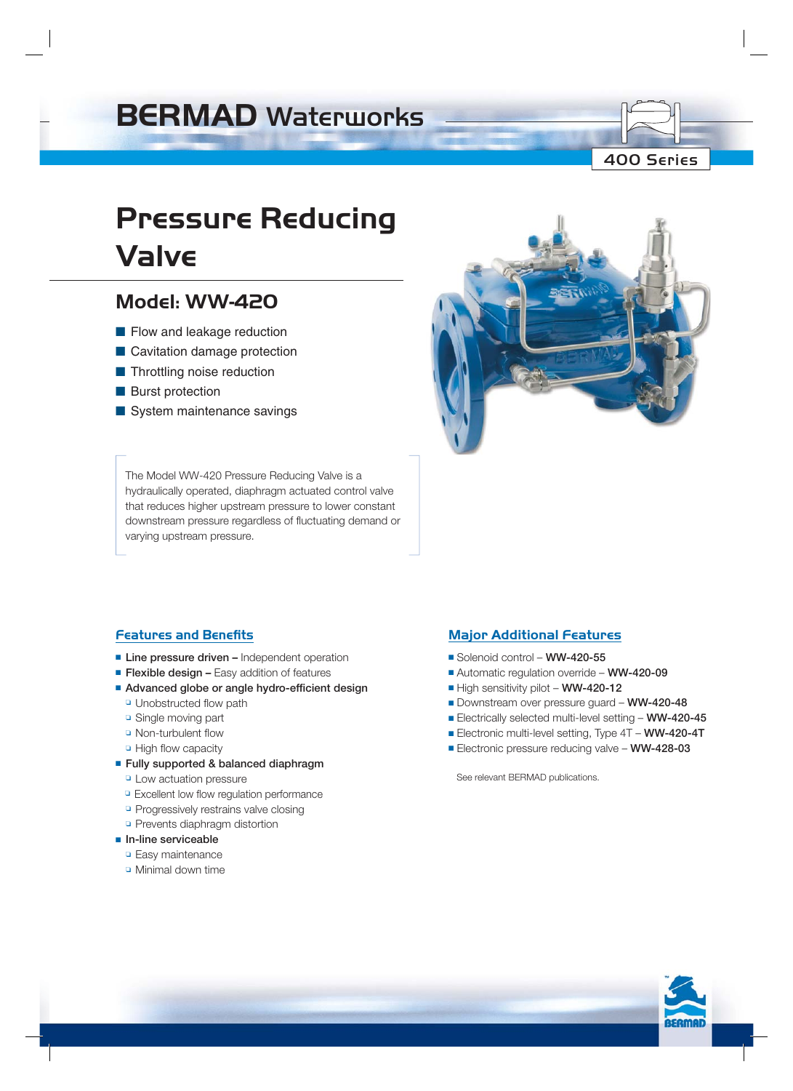## **BERMAD** Waterworks

## 400 Series

# **Pressure Reducing Valve**

## **Model: WW-420**

- Flow and leakage reduction
- Cavitation damage protection
- Throttling noise reduction
- Burst protection
- System maintenance savings

The Model WW-420 Pressure Reducing Valve is a hydraulically operated, diaphragm actuated control valve that reduces higher upstream pressure to lower constant downstream pressure regardless of fluctuating demand or varying upstream pressure.

## **Features and Benefits**

- **Line pressure driven** Independent operation
- **Flexible design –** Easy addition of features
- Advanced globe or angle hydro-efficient design
	- ❏ Unobstructed flow path
	- ❏ Single moving part
	- ❏ Non-turbulent flow
	- ❏ High flow capacity
- ■ **Fully supported & balanced diaphragm**
	- ❏ Low actuation pressure
	- ❏ Excellent low flow regulation performance
	- ❏ Progressively restrains valve closing
	- ❏ Prevents diaphragm distortion
- ■ **In-line serviceable**
	- ❏ Easy maintenance
	- ❏ Minimal down time

## **Major Additional Features**

- Solenoid control – **WW-420-55**
- Automatic regulation override – **WW-420-09**
- High sensitivity pilot – **WW-420-12**
- Downstream over pressure guard **WW-420-48**
- Electrically selected multi-level setting – **WW-420-45**
- Electronic multi-level setting, Type 4T **WW-420-4T**
- Electronic pressure reducing valve **WW-428-03**

See relevant BERMAD publications.

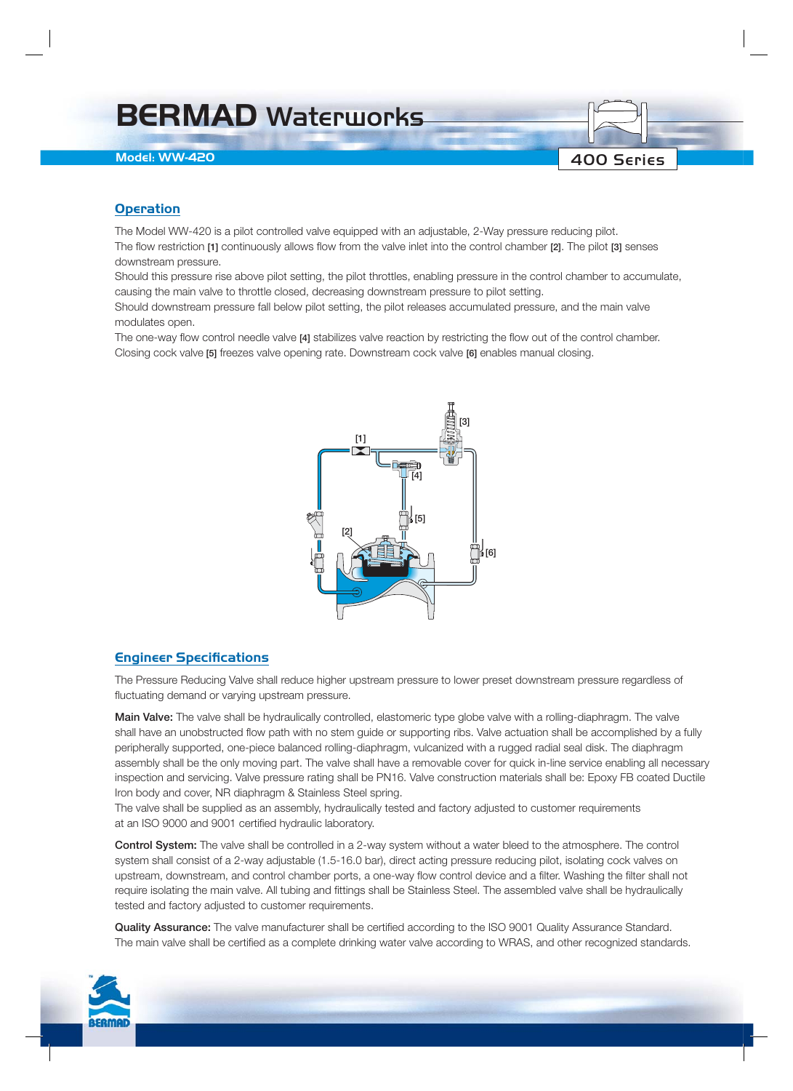## **BERMAD** Waterworks

### **Model: WW-420**

### **Operation**

The Model WW-420 is a pilot controlled valve equipped with an adjustable, 2-Way pressure reducing pilot.

The flow restriction **[1]** continuously allows flow from the valve inlet into the control chamber **[2]**. The pilot **[3]** senses downstream pressure.

Should this pressure rise above pilot setting, the pilot throttles, enabling pressure in the control chamber to accumulate, causing the main valve to throttle closed, decreasing downstream pressure to pilot setting.

400 Series

Should downstream pressure fall below pilot setting, the pilot releases accumulated pressure, and the main valve modulates open.

The one-way flow control needle valve **[4]** stabilizes valve reaction by restricting the flow out of the control chamber. Closing cock valve **[5]** freezes valve opening rate. Downstream cock valve **[6]** enables manual closing.



### **Engineer Specifications**

The Pressure Reducing Valve shall reduce higher upstream pressure to lower preset downstream pressure regardless of fluctuating demand or varying upstream pressure.

**Main Valve:** The valve shall be hydraulically controlled, elastomeric type globe valve with a rolling-diaphragm. The valve shall have an unobstructed flow path with no stem guide or supporting ribs. Valve actuation shall be accomplished by a fully peripherally supported, one-piece balanced rolling-diaphragm, vulcanized with a rugged radial seal disk. The diaphragm assembly shall be the only moving part. The valve shall have a removable cover for quick in-line service enabling all necessary inspection and servicing. Valve pressure rating shall be PN16. Valve construction materials shall be: Epoxy FB coated Ductile Iron body and cover, NR diaphragm & Stainless Steel spring.

The valve shall be supplied as an assembly, hydraulically tested and factory adjusted to customer requirements at an ISO 9000 and 9001 certified hydraulic laboratory.

**Control System:** The valve shall be controlled in a 2-way system without a water bleed to the atmosphere. The control system shall consist of a 2-way adjustable (1.5-16.0 bar), direct acting pressure reducing pilot, isolating cock valves on upstream, downstream, and control chamber ports, a one-way flow control device and a filter. Washing the filter shall not require isolating the main valve. All tubing and fittings shall be Stainless Steel. The assembled valve shall be hydraulically tested and factory adjusted to customer requirements.

**Quality Assurance:** The valve manufacturer shall be certified according to the ISO 9001 Quality Assurance Standard. The main valve shall be certified as a complete drinking water valve according to WRAS, and other recognized standards.

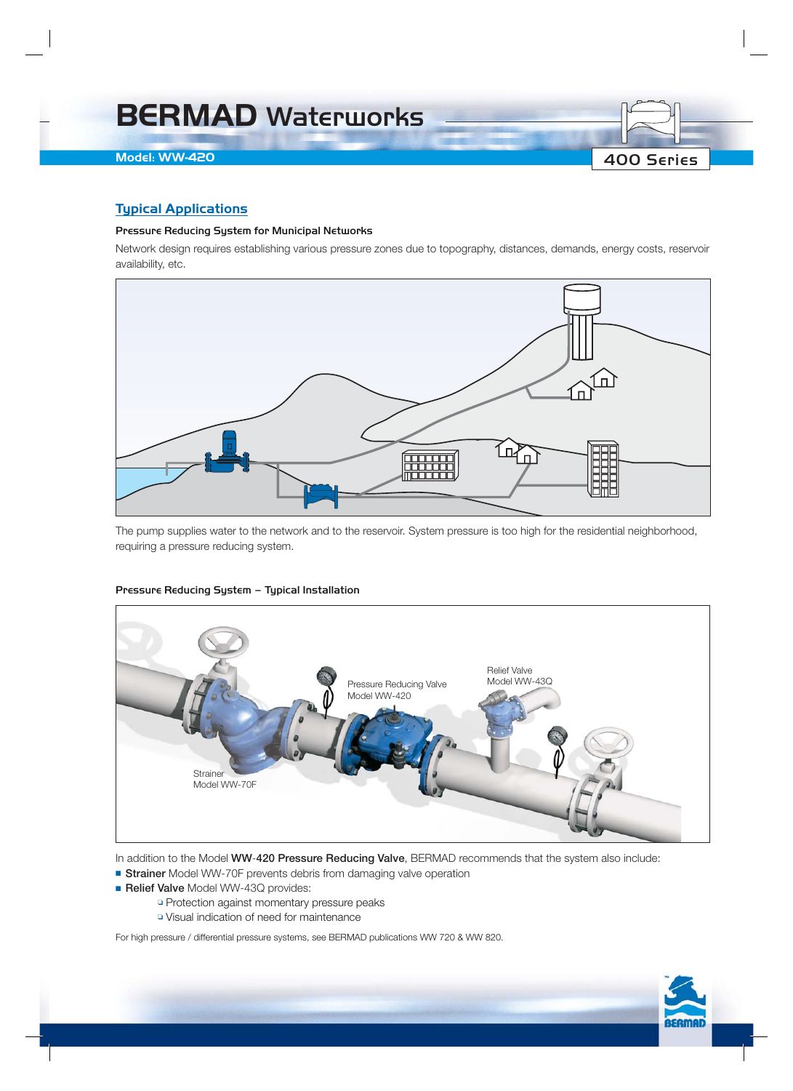

## **Typical Applications**

#### Pressure Reducing System for Municipal Networks

Network design requires establishing various pressure zones due to topography, distances, demands, energy costs, reservoir availability, etc.



The pump supplies water to the network and to the reservoir. System pressure is too high for the residential neighborhood, requiring a pressure reducing system.

#### Pressure Reducing System – Typical Installation



In addition to the Model **WW**-**420 Pressure Reducing Valve**, BERMAD recommends that the system also include:

- **Strainer** Model WW-70F prevents debris from damaging valve operation
- **Relief Valve** Model WW-43Q provides:
	- ❏ Protection against momentary pressure peaks
	- ❏ Visual indication of need for maintenance

For high pressure / differential pressure systems, see BERMAD publications WW 720 & WW 820.